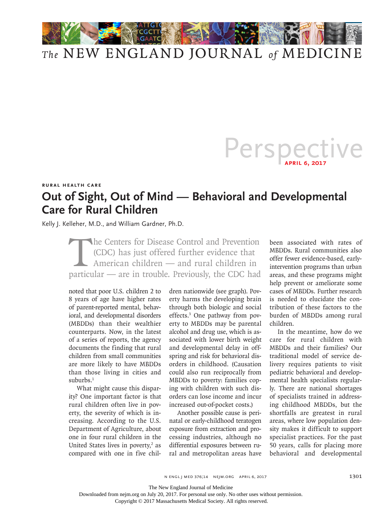

## *The* NEW ENGLAND JOURNAL *of* MEDICINE

## Perspective

## **Rural Health Care**

## **Out of Sight, Out of Mind — Behavioral and Developmental Care for Rural Children**

Kelly J. Kelleher, M.D., and William Gardner, Ph.D.

The Centers for Disease Control and Prevention<br>(CDC) has just offered further evidence that<br>American children — and rural children in<br>particular — are in trouble. Previously, the CDC had (CDC) has just offered further evidence that American children — and rural children in particular — are in trouble. Previously, the CDC had

noted that poor U.S. children 2 to 8 years of age have higher rates of parent-reported mental, behavioral, and developmental disorders (MBDDs) than their wealthier counterparts. Now, in the latest of a series of reports, the agency documents the finding that rural children from small communities are more likely to have MBDDs than those living in cities and suburbs. $1$ 

What might cause this disparity? One important factor is that rural children often live in poverty, the severity of which is increasing. According to the U.S. Department of Agriculture, about one in four rural children in the United States lives in poverty, $2$  as compared with one in five children nationwide (see graph). Poverty harms the developing brain through both biologic and social effects.3 One pathway from poverty to MBDDs may be parental alcohol and drug use, which is associated with lower birth weight and developmental delay in offspring and risk for behavioral disorders in childhood. (Causation could also run reciprocally from MBDDs to poverty: families coping with children with such disorders can lose income and incur increased out-of-pocket costs.)

Another possible cause is perinatal or early-childhood teratogen exposure from extraction and processing industries, although no differential exposures between rural and metropolitan areas have been associated with rates of MBDDs. Rural communities also offer fewer evidence-based, earlyintervention programs than urban areas, and these programs might help prevent or ameliorate some cases of MBDDs. Further research is needed to elucidate the contribution of these factors to the burden of MBDDs among rural children.

In the meantime, how do we care for rural children with MBDDs and their families? Our traditional model of service delivery requires patients to visit pediatric behavioral and developmental health specialists regularly. There are national shortages of specialists trained in addressing childhood MBDDs, but the shortfalls are greatest in rural areas, where low population density makes it difficult to support specialist practices. For the past 50 years, calls for placing more behavioral and developmental

The New England Journal of Medicine

Downloaded from nejm.org on July 20, 2017. For personal use only. No other uses without permission.

Copyright © 2017 Massachusetts Medical Society. All rights reserved.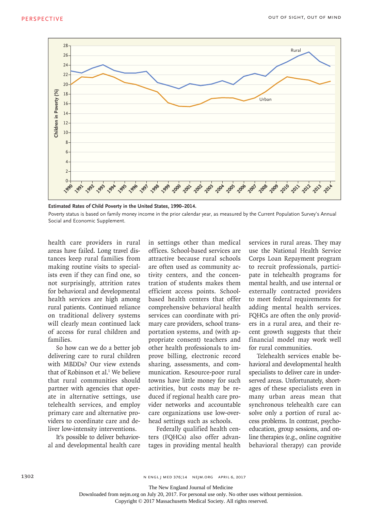

**Estimated Rates of Child Poverty in the United States, 1990–2014.**

Poverty status is based on family money income in the prior calendar year, as measured by the Current Population Survey's Annual Social and Economic Supplement.

health care providers in rural areas have failed. Long travel distances keep rural families from making routine visits to specialists even if they can find one, so not surprisingly, attrition rates for behavioral and developmental health services are high among rural patients. Continued reliance on traditional delivery systems will clearly mean continued lack of access for rural children and families.

So how can we do a better job delivering care to rural children with MBDDs? Our view extends that of Robinson et al.<sup>1</sup> We believe that rural communities should partner with agencies that operate in alternative settings, use telehealth services, and employ primary care and alternative providers to coordinate care and deliver low-intensity interventions.

It's possible to deliver behavioral and developmental health care in settings other than medical offices. School-based services are attractive because rural schools are often used as community activity centers, and the concentration of students makes them efficient access points. Schoolbased health centers that offer comprehensive behavioral health services can coordinate with primary care providers, school transportation systems, and (with appropriate consent) teachers and other health professionals to improve billing, electronic record sharing, assessments, and communication. Resource-poor rural towns have little money for such activities, but costs may be reduced if regional health care provider networks and accountable care organizations use low-overhead settings such as schools.

Federally qualified health centers (FQHCs) also offer advantages in providing mental health services in rural areas. They may use the National Health Service Corps Loan Repayment program to recruit professionals, participate in telehealth programs for mental health, and use internal or externally contracted providers to meet federal requirements for adding mental health services. FQHCs are often the only providers in a rural area, and their recent growth suggests that their financial model may work well for rural communities.

Telehealth services enable behavioral and developmental health specialists to deliver care in underserved areas. Unfortunately, shortages of these specialists even in many urban areas mean that synchronous telehealth care can solve only a portion of rural access problems. In contrast, psychoeducation, group sessions, and online therapies (e.g., online cognitive behavioral therapy) can provide

n engl j med 376;14 nejm.org April 6, 2017

The New England Journal of Medicine

Downloaded from nejm.org on July 20, 2017. For personal use only. No other uses without permission.

Copyright © 2017 Massachusetts Medical Society. All rights reserved.